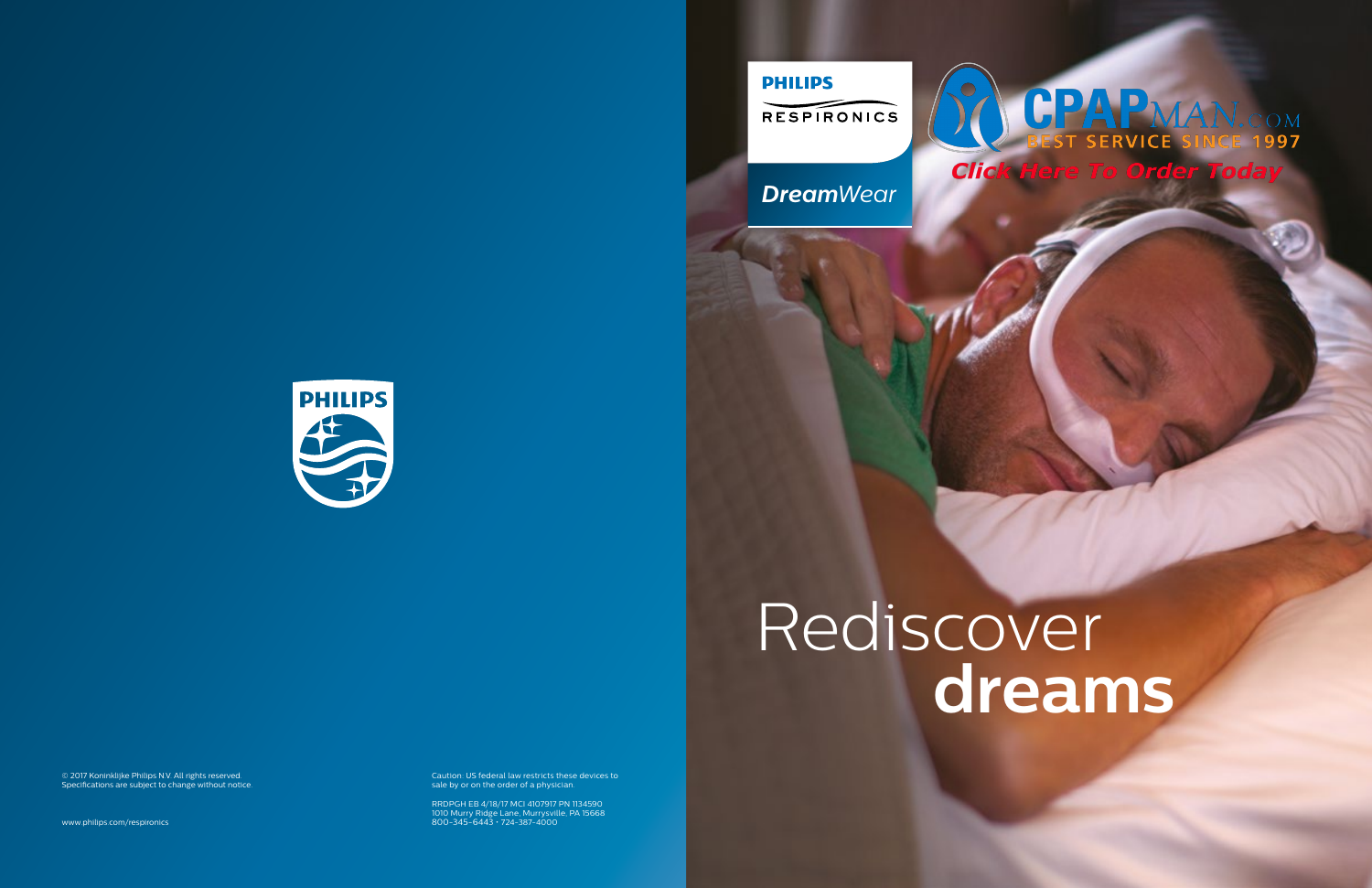# Rediscover **dreams**



Caution: US federal law restricts these devices to sale by or on the order of a physician.

RRDPGH EB 4/18/17 MCI 4107917 PN 1134590 1010 Murry Ridge Lane, Murrysville, PA 15668 800-345-6443 • 724-387-4000 **Dream**Wear *DreamWear Gel DreamWear*

**PHILIPS** 

## CPAPMAN. **SERVICE SINCE 1997** Here To Order Today



© 2017 Koninklijke Philips N.V. All rights reserved. Specifications are subject to change without notice.

www.philips.com/respironics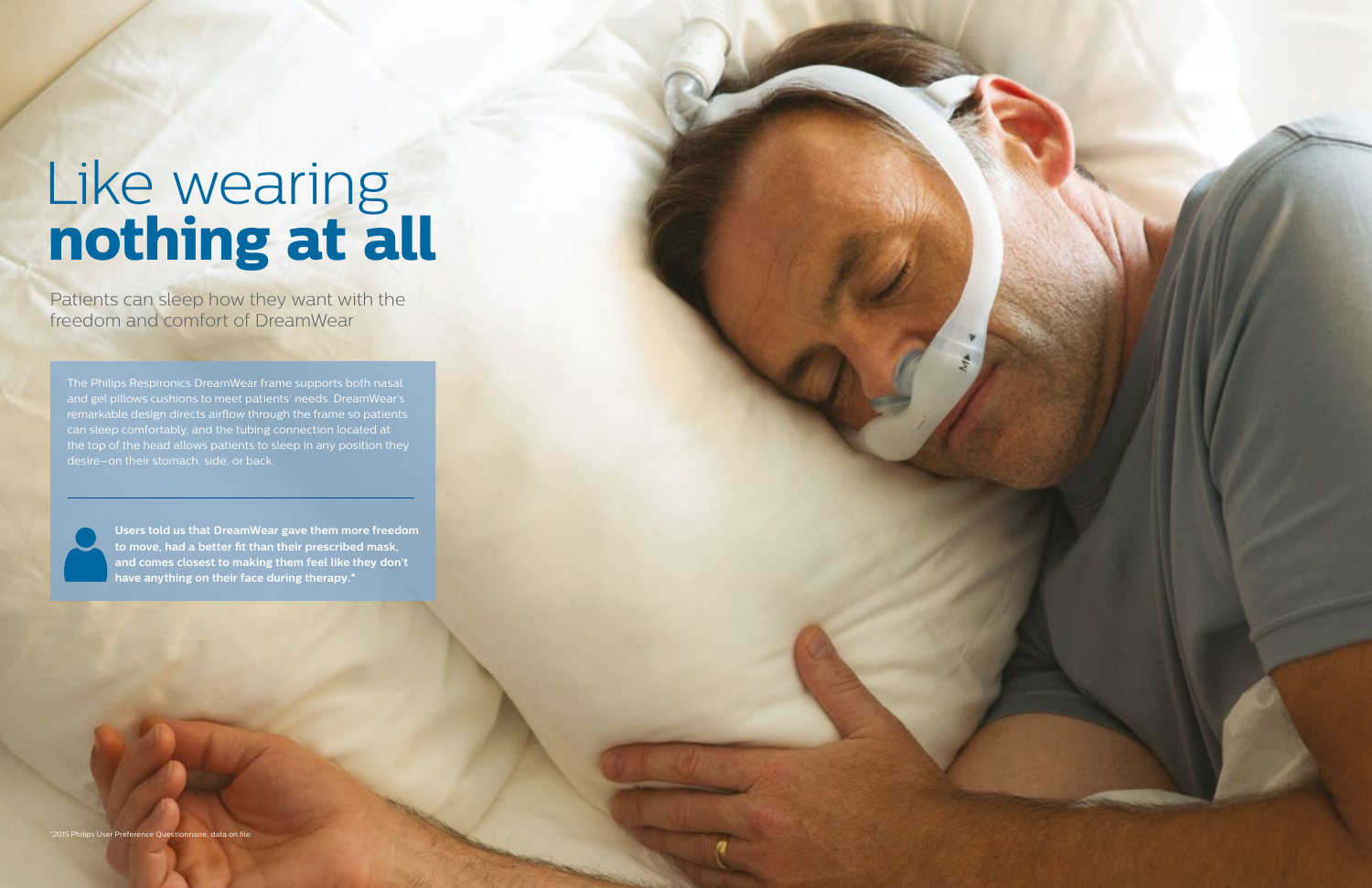The Philips Respironics DreamWear frame supports both nasal and gel pillows cushions to meet patients' needs. DreamWear's remarkable design directs airflow through the frame so patients can sleep comfortably, and the tubing connection located at the top of the head allows patients to sleep in any position they desire–on their stomach, side, or back.

# Like wearing **nothing at all**

Patients can sleep how they want with the freedom and comfort of DreamWear

> **Users told us that DreamWear gave them more freedom to move, had a better fit than their prescribed mask, and comes closest to making them feel like they don't have anything on their face during therapy.\***

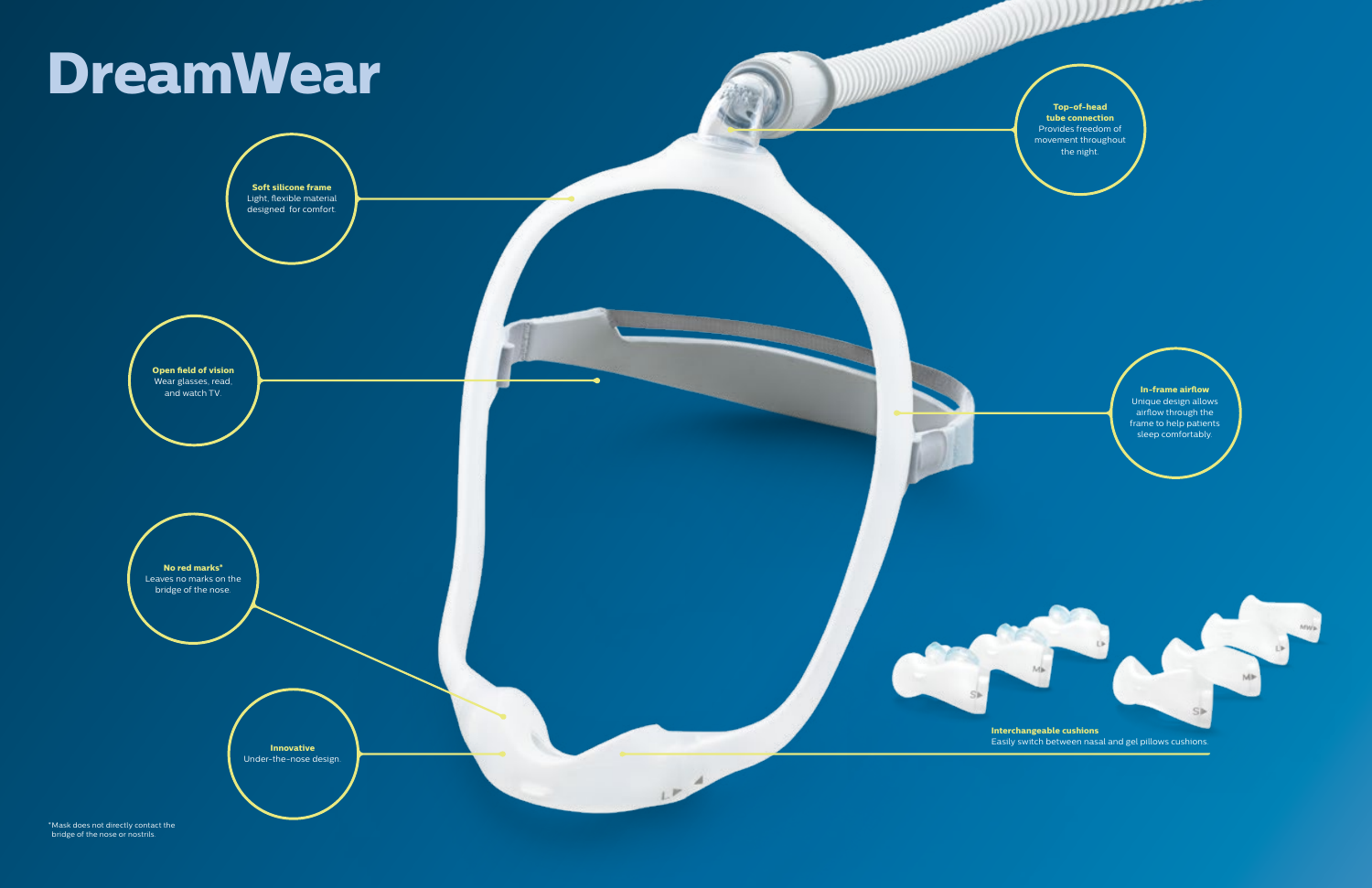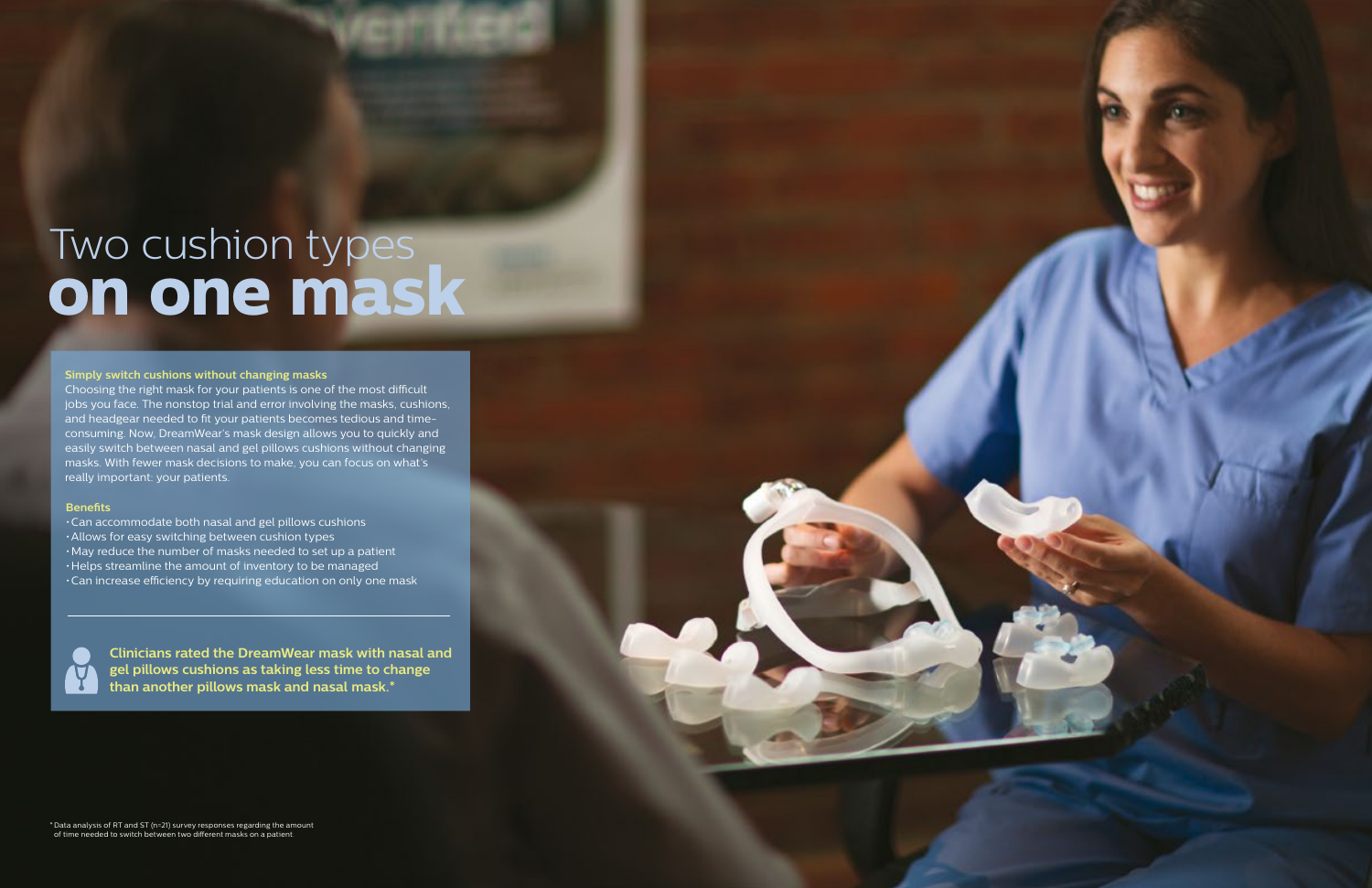#### **Simply switch cushions without changing masks**

Choosing the right mask for your patients is one of the most difficult jobs you face. The nonstop trial and error involving the masks, cushions, and headgear needed to fit your patients becomes tedious and timeconsuming. Now, DreamWear's mask design allows you to quickly and easily switch between nasal and gel pillows cushions without changing masks. With fewer mask decisions to make, you can focus on what's really important: your patients.

> **Clinicians rated the DreamWear mask with nasal and gel pillows cushions as taking less time to change than another pillows mask and nasal mask.\***

# Two cushion types **on one mask**

#### **Benefits**

- •Can accommodate both nasal and gel pillows cushions
- •Allows for easy switching between cushion types
- •May reduce the number of masks needed to set up a patient
- •Helps streamline the amount of inventory to be managed
- •Can increase efficiency by requiring education on only one mask

\*Data analysis of RT and ST (n=21) survey responses regarding the amount of time needed to switch between two different masks on a patient.

![](_page_3_Picture_12.jpeg)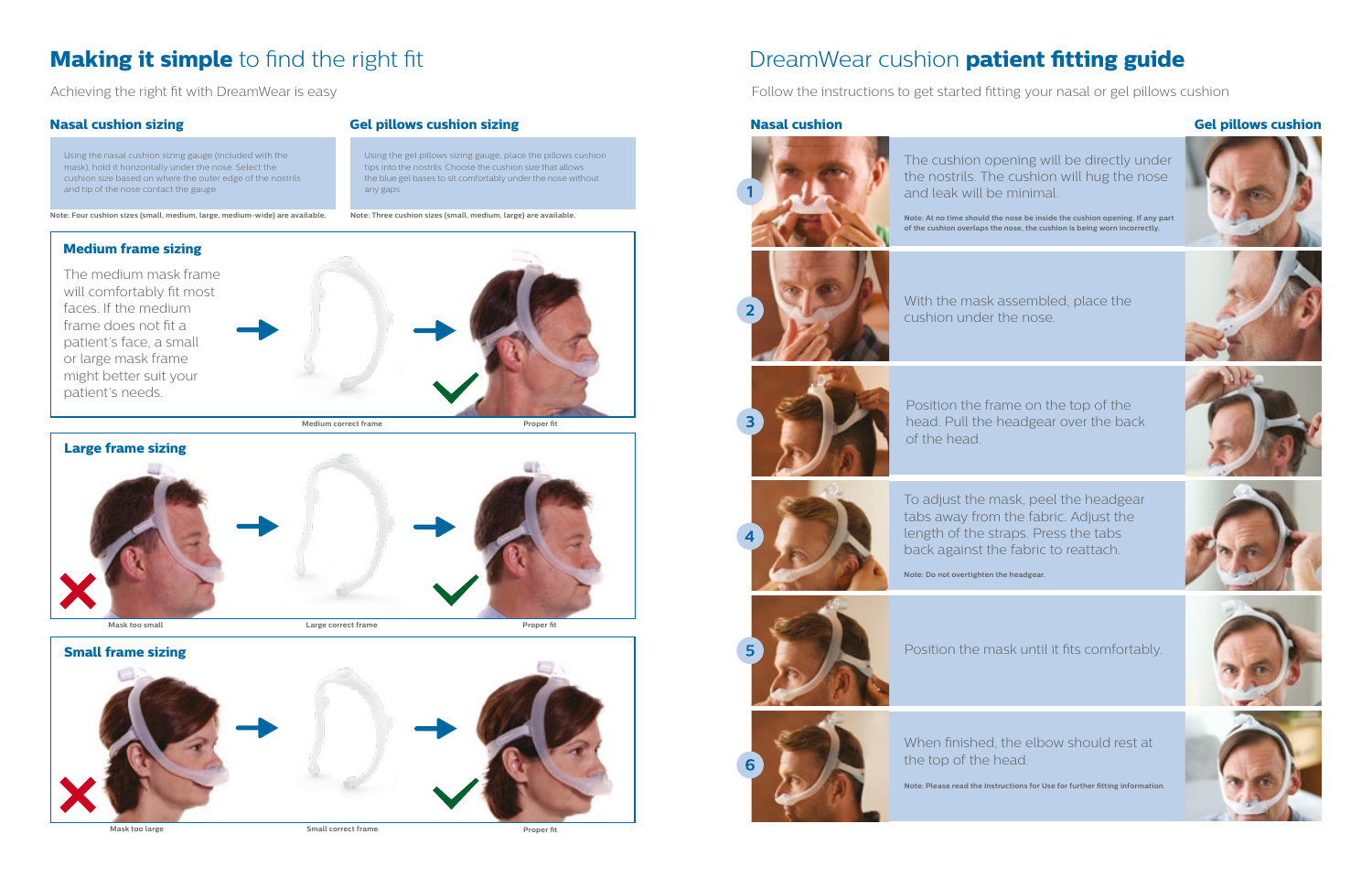## DreamWear cushion **patient fitting guide**

Achieving the right fit with DreamWear is easy **Follow the instructions to get started fitting your nasal or gel pillows cushion** 

![](_page_4_Picture_17.jpeg)

### **Nasal cushion Gel pillows cushion**

![](_page_4_Picture_33.jpeg)

![](_page_4_Picture_34.jpeg)

![](_page_4_Picture_35.jpeg)

![](_page_4_Picture_36.jpeg)

![](_page_4_Picture_37.jpeg)

![](_page_4_Picture_38.jpeg)

To adjust the mask, peel the headgear tabs away from the fabric. Adjust the length of the straps. Press the tabs back against the fabric to reattach.

**Note: Do not overtighten the headgear.**

![](_page_4_Picture_27.jpeg)

Position the frame on the top of the head. Pull the headgear over the back of the head.

![](_page_4_Picture_24.jpeg)

Position the mask until it fits comfortably.

![](_page_4_Picture_29.jpeg)

When finished, the elbow should rest at the top of the head.

The cushion opening will be directly under the nostrils. The cushion will hug the nose and leak will be minimal.

**Note: At no time should the nose be inside the cushion opening. If any part of the cushion overlaps the nose, the cushion is being worn incorrectly.**

![](_page_4_Picture_20.jpeg)

With the mask assembled, place the cushion under the nose.

![](_page_4_Picture_22.jpeg)

**Note: Please read the Instructions for Use for further fitting information.**

## **Making it simple** to find the right fit

### **Nasal cushion sizing**

Using the nasal cushion sizing gauge (included with the mask), hold it horizontally under the nose. Select the cushion size based on where the outer edge of the nostrils and tip of the nose contact the gauge.

**Note: Four cushion sizes (small, medium, large, medium-wide) are available.**

**Proper fit**

### **Gel pillows cushion sizing**

![](_page_4_Picture_9.jpeg)

Using the gel pillows sizing gauge, place the pillows cushion tips into the nostrils. Choose the cushion size that allows the blue gel bases to sit comfortably under the nose without any gaps.

![](_page_4_Picture_10.jpeg)

![](_page_4_Picture_8.jpeg)

**Note: Three cushion sizes (small, medium, large) are available.**